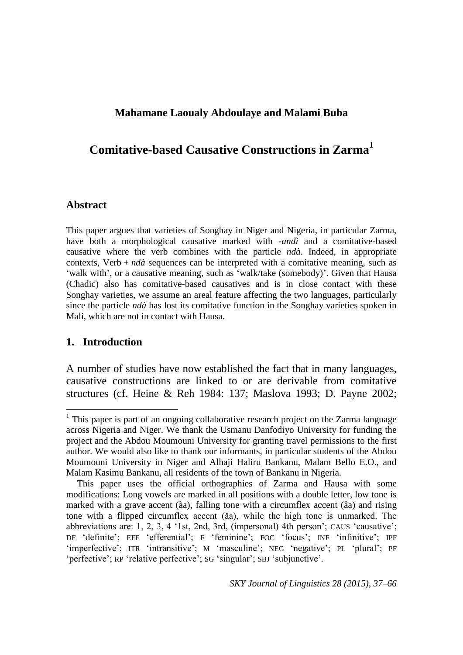## **Mahamane Laoualy Abdoulaye and Malami Buba**

# **Comitative-based Causative Constructions in Zarma<sup>1</sup>**

### **Abstract**

This paper argues that varieties of Songhay in Niger and Nigeria, in particular Zarma, have both a morphological causative marked with -*andì* and a comitative-based causative where the verb combines with the particle *ndà*. Indeed, in appropriate contexts, Verb  $+ nd\hat{a}$  sequences can be interpreted with a comitative meaning, such as 'walk with', or a causative meaning, such as 'walk/take (somebody)'. Given that Hausa (Chadic) also has comitative-based causatives and is in close contact with these Songhay varieties, we assume an areal feature affecting the two languages, particularly since the particle *ndà* has lost its comitative function in the Songhay varieties spoken in Mali, which are not in contact with Hausa.

### **1. Introduction**

<u>.</u>

A number of studies have now established the fact that in many languages, causative constructions are linked to or are derivable from comitative structures (cf. Heine & Reh 1984: 137; Maslova 1993; D. Payne 2002;

<sup>&</sup>lt;sup>1</sup> This paper is part of an ongoing collaborative research project on the Zarma language across Nigeria and Niger. We thank the Usmanu Danfodiyo University for funding the project and the Abdou Moumouni University for granting travel permissions to the first author. We would also like to thank our informants, in particular students of the Abdou Moumouni University in Niger and Alhaji Haliru Bankanu, Malam Bello E.O., and Malam Kasimu Bankanu, all residents of the town of Bankanu in Nigeria.

This paper uses the official orthographies of Zarma and Hausa with some modifications: Long vowels are marked in all positions with a double letter, low tone is marked with a grave accent (àa), falling tone with a circumflex accent (âa) and rising tone with a flipped circumflex accent (ǎa), while the high tone is unmarked. The abbreviations are: 1, 2, 3, 4 '1st, 2nd, 3rd, (impersonal) 4th person'; CAUS 'causative'; DF 'definite'; EFF 'efferential'; F 'feminine'; FOC 'focus'; INF 'infinitive'; IPF 'imperfective'; ITR 'intransitive'; M 'masculine'; NEG 'negative'; PL 'plural'; PF 'perfective'; RP 'relative perfective'; SG 'singular'; SBJ 'subjunctive'.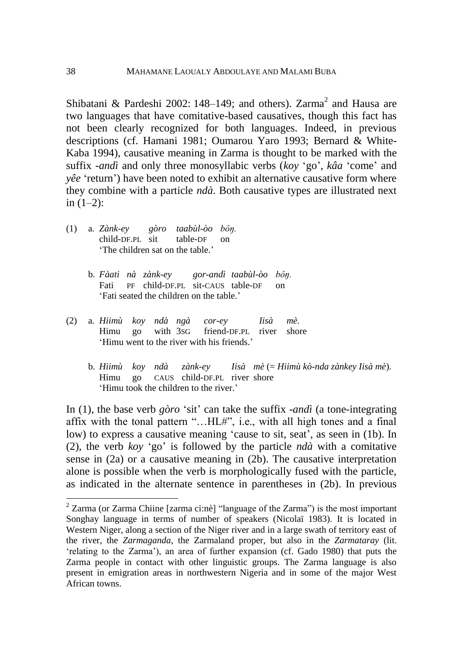Shibatani & Pardeshi 2002: 148–149; and others). Zarma<sup>2</sup> and Hausa are two languages that have comitative-based causatives, though this fact has not been clearly recognized for both languages. Indeed, in previous descriptions (cf. Hamani 1981; Oumarou Yaro 1993; Bernard & White-Kaba 1994), causative meaning in Zarma is thought to be marked with the suffix -*andì* and only three monosyllabic verbs (*koy* 'go', *kâa* 'come' and *yêe* 'return') have been noted to exhibit an alternative causative form where they combine with a particle *ndà*. Both causative types are illustrated next in  $(1-2)$ :

- (1) a. *Zànk-ey gòro taabùl-òo bôŋ.* child-DF.PL sit table-DF on 'The children sat on the table.'
	- b. *Fàati nà zànk-ey gor-andì taabùl-òo bôŋ.* Fati PF child-DF.PL sit-CAUS table-DF on 'Fati seated the children on the table.'
- (2) a. *Hiimù koy ndà ngà cor-ey Iisà mè.* Himu go with 3SG friend-DF.PL river shore 'Himu went to the river with his friends.'
	- b. *Hiimù koy ndà zànk-ey Iisà mè* (= *Hiimù kò-nda zànkey Iisà mè*)*.* Himu go CAUS child-DF.PL river shore 'Himu took the children to the river.'

In (1), the base verb *gòro* 'sit' can take the suffix -*andì* (a tone-integrating affix with the tonal pattern "…HL#", i.e., with all high tones and a final low) to express a causative meaning 'cause to sit, seat', as seen in (1b). In (2), the verb *koy* 'go' is followed by the particle *ndà* with a comitative sense in (2a) or a causative meaning in (2b). The causative interpretation alone is possible when the verb is morphologically fused with the particle, as indicated in the alternate sentence in parentheses in (2b). In previous

<u>.</u>

 $2$  Zarma (or Zarma Chiine [zarma ci:nè] "language of the Zarma") is the most important Songhay language in terms of number of speakers (Nicolaï 1983). It is located in Western Niger, along a section of the Niger river and in a large swath of territory east of the river, the *Zarmaganda*, the Zarmaland proper, but also in the *Zarmataray* (lit. 'relating to the Zarma'), an area of further expansion (cf. Gado 1980) that puts the Zarma people in contact with other linguistic groups. The Zarma language is also present in emigration areas in northwestern Nigeria and in some of the major West African towns.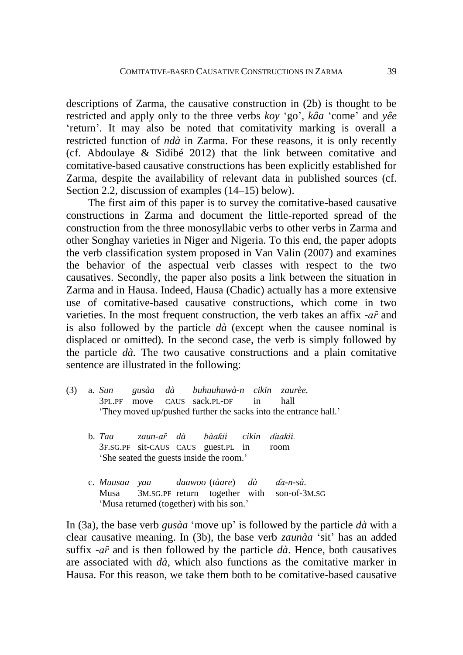descriptions of Zarma, the causative construction in (2b) is thought to be restricted and apply only to the three verbs *koy* 'go', *kâa* 'come' and *yêe* 'return'. It may also be noted that comitativity marking is overall a restricted function of *ndà* in Zarma. For these reasons, it is only recently (cf. Abdoulaye & Sidibé 2012) that the link between comitative and comitative-based causative constructions has been explicitly established for Zarma, despite the availability of relevant data in published sources (cf. Section 2.2, discussion of examples (14–15) below).

The first aim of this paper is to survey the comitative-based causative constructions in Zarma and document the little-reported spread of the construction from the three monosyllabic verbs to other verbs in Zarma and other Songhay varieties in Niger and Nigeria. To this end, the paper adopts the verb classification system proposed in Van Valin (2007) and examines the behavior of the aspectual verb classes with respect to the two causatives. Secondly, the paper also posits a link between the situation in Zarma and in Hausa. Indeed, Hausa (Chadic) actually has a more extensive use of comitative-based causative constructions, which come in two varieties. In the most frequent construction, the verb takes an affix -*a*<sup> $\hat{r}$ </sup> and is also followed by the particle *dà* (except when the causee nominal is displaced or omitted). In the second case, the verb is simply followed by the particle *dà.* The two causative constructions and a plain comitative sentence are illustrated in the following:

- (3) a. *Sun gusàa dà buhuuhuwà-n cikin zaurèe.* 3PL.PF move CAUS sack.PL-DF in hall 'They moved up/pushed further the sacks into the entrance hall.'
	- b. *Taa zaun-aȓ dà bàaƙii cikin ɗaakìi.* 3F.SG.PF sit-CAUS CAUS guest.PL in room 'She seated the guests inside the room.'
	- c. *Muusaa yaa daawoo* (*tàare*) *dà ɗa-n-sà.* Musa 3M.SG.PF return together with son-of-3M.SG 'Musa returned (together) with his son.'

In (3a), the base verb *gusàa* 'move up' is followed by the particle *dà* with a clear causative meaning. In (3b), the base verb *zaunàa* 'sit' has an added suffix  $-a\hat{r}$  and is then followed by the particle  $d\hat{a}$ . Hence, both causatives are associated with *dà*, which also functions as the comitative marker in Hausa. For this reason, we take them both to be comitative-based causative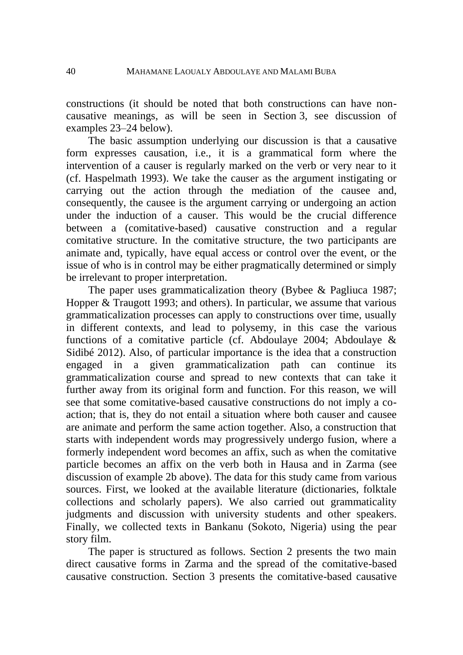constructions (it should be noted that both constructions can have noncausative meanings, as will be seen in Section 3, see discussion of examples 23–24 below).

The basic assumption underlying our discussion is that a causative form expresses causation, i.e., it is a grammatical form where the intervention of a causer is regularly marked on the verb or very near to it (cf. Haspelmath 1993). We take the causer as the argument instigating or carrying out the action through the mediation of the causee and, consequently, the causee is the argument carrying or undergoing an action under the induction of a causer. This would be the crucial difference between a (comitative-based) causative construction and a regular comitative structure. In the comitative structure, the two participants are animate and, typically, have equal access or control over the event, or the issue of who is in control may be either pragmatically determined or simply be irrelevant to proper interpretation.

The paper uses grammaticalization theory (Bybee & Pagliuca 1987; Hopper & Traugott 1993; and others). In particular, we assume that various grammaticalization processes can apply to constructions over time, usually in different contexts, and lead to polysemy, in this case the various functions of a comitative particle (cf. Abdoulaye 2004; Abdoulaye & Sidibé 2012). Also, of particular importance is the idea that a construction engaged in a given grammaticalization path can continue its grammaticalization course and spread to new contexts that can take it further away from its original form and function. For this reason, we will see that some comitative-based causative constructions do not imply a coaction; that is, they do not entail a situation where both causer and causee are animate and perform the same action together. Also, a construction that starts with independent words may progressively undergo fusion, where a formerly independent word becomes an affix, such as when the comitative particle becomes an affix on the verb both in Hausa and in Zarma (see discussion of example 2b above). The data for this study came from various sources. First, we looked at the available literature (dictionaries, folktale collections and scholarly papers). We also carried out grammaticality judgments and discussion with university students and other speakers. Finally, we collected texts in Bankanu (Sokoto, Nigeria) using the pear story film.

The paper is structured as follows. Section 2 presents the two main direct causative forms in Zarma and the spread of the comitative-based causative construction. Section 3 presents the comitative-based causative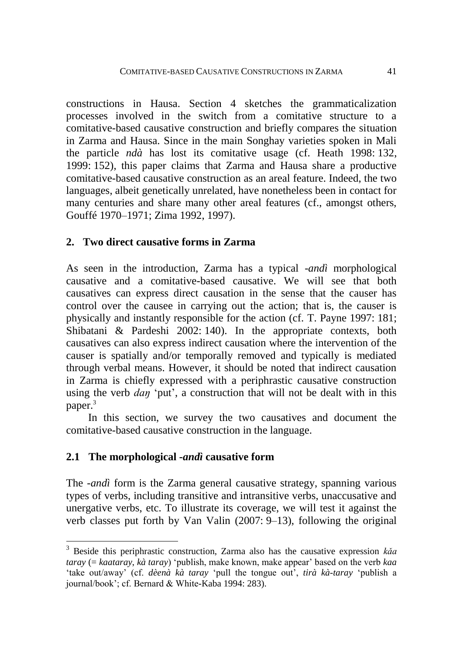constructions in Hausa. Section 4 sketches the grammaticalization processes involved in the switch from a comitative structure to a comitative-based causative construction and briefly compares the situation in Zarma and Hausa. Since in the main Songhay varieties spoken in Mali the particle *ndà* has lost its comitative usage (cf. Heath 1998: 132, 1999: 152), this paper claims that Zarma and Hausa share a productive comitative-based causative construction as an areal feature. Indeed, the two languages, albeit genetically unrelated, have nonetheless been in contact for many centuries and share many other areal features (cf., amongst others, Gouffé 1970–1971; Zima 1992, 1997).

## **2. Two direct causative forms in Zarma**

As seen in the introduction, Zarma has a typical -*andì* morphological causative and a comitative-based causative. We will see that both causatives can express direct causation in the sense that the causer has control over the causee in carrying out the action; that is, the causer is physically and instantly responsible for the action (cf. T. Payne 1997: 181; Shibatani & Pardeshi 2002: 140). In the appropriate contexts, both causatives can also express indirect causation where the intervention of the causer is spatially and/or temporally removed and typically is mediated through verbal means. However, it should be noted that indirect causation in Zarma is chiefly expressed with a periphrastic causative construction using the verb *daŋ* 'put', a construction that will not be dealt with in this paper.<sup>3</sup>

In this section, we survey the two causatives and document the comitative-based causative construction in the language.

## **2.1 The morphological** *-andì* **causative form**

1

The -*andì* form is the Zarma general causative strategy, spanning various types of verbs, including transitive and intransitive verbs, unaccusative and unergative verbs, etc. To illustrate its coverage, we will test it against the verb classes put forth by Van Valin (2007: 9–13), following the original

<sup>3</sup> Beside this periphrastic construction, Zarma also has the causative expression *kǎa taray* (= *kaataray*, *kà taray*) 'publish, make known, make appear' based on the verb *kaa* 'take out/away' (cf. *dèenà kà taray* 'pull the tongue out', *tirà kà-taray* 'publish a journal/book'; cf. Bernard & White-Kaba 1994: 283).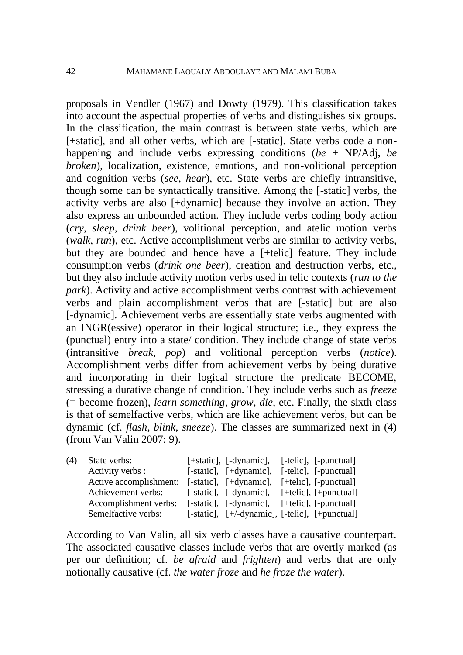proposals in Vendler (1967) and Dowty (1979). This classification takes into account the aspectual properties of verbs and distinguishes six groups. In the classification, the main contrast is between state verbs, which are [+static], and all other verbs, which are [-static]. State verbs code a nonhappening and include verbs expressing conditions (*be* + NP/Adj, *be broken*), localization, existence, emotions, and non-volitional perception and cognition verbs (*see, hear*), etc. State verbs are chiefly intransitive, though some can be syntactically transitive. Among the [-static] verbs, the activity verbs are also [+dynamic] because they involve an action. They also express an unbounded action. They include verbs coding body action (*cry*, *sleep, drink beer*), volitional perception, and atelic motion verbs (*walk*, *run*), etc. Active accomplishment verbs are similar to activity verbs, but they are bounded and hence have a [+telic] feature. They include consumption verbs (*drink one beer*), creation and destruction verbs, etc., but they also include activity motion verbs used in telic contexts (*run to the park*). Activity and active accomplishment verbs contrast with achievement verbs and plain accomplishment verbs that are [-static] but are also [-dynamic]. Achievement verbs are essentially state verbs augmented with an INGR(essive) operator in their logical structure; i.e., they express the (punctual) entry into a state/ condition. They include change of state verbs (intransitive *break*, *pop*) and volitional perception verbs (*notice*). Accomplishment verbs differ from achievement verbs by being durative and incorporating in their logical structure the predicate BECOME, stressing a durative change of condition. They include verbs such as *freeze* (= become frozen), *learn something*, *grow*, *die*, etc. Finally, the sixth class is that of semelfactive verbs, which are like achievement verbs, but can be dynamic (cf. *flash*, *blink, sneeze*). The classes are summarized next in (4) (from Van Valin 2007: 9).

| (4) | State verbs:           | [+static], [-dynamic], [-telic], [-punctual]   |  |
|-----|------------------------|------------------------------------------------|--|
|     | Activity verbs :       | [-static], [+dynamic], [-telic], [-punctual]   |  |
|     | Active accomplishment: | [-static], [+dynamic], [+telic], [-punctual]   |  |
|     | Achievement verbs:     | [-static], [-dynamic], [+telic], [+punctual]   |  |
|     | Accomplishment verbs:  | [-static], [-dynamic], [+telic], [-punctual]   |  |
|     | Semelfactive verbs:    | [-static], [+/-dynamic], [-telic], [+punctual] |  |

According to Van Valin, all six verb classes have a causative counterpart. The associated causative classes include verbs that are overtly marked (as per our definition; cf. *be afraid* and *frighten*) and verbs that are only notionally causative (cf. *the water froze* and *he froze the water*).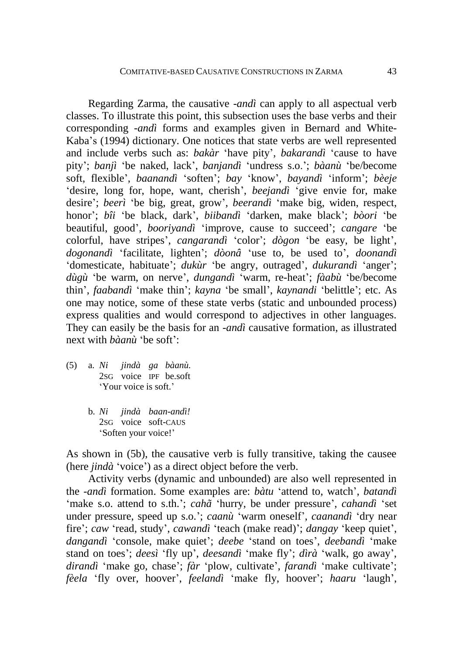Regarding Zarma, the causative -*andì* can apply to all aspectual verb classes. To illustrate this point, this subsection uses the base verbs and their corresponding -*andì* forms and examples given in Bernard and White-Kaba's (1994) dictionary. One notices that state verbs are well represented and include verbs such as: *bakàr* 'have pity', *bakarandì* 'cause to have pity'; *banjì* 'be naked, lack', *banjandì* 'undress s.o.'; *bàanù* 'be/become soft, flexible', *baanandì* 'soften'; *bay* 'know', *bayandì* 'inform'; *bèeje* 'desire, long for, hope, want, cherish', *beejandì* 'give envie for, make desire'; *beerì* 'be big, great, grow', *beerandì* 'make big, widen, respect, honor'; *bîi* 'be black, dark', *biibandì* 'darken, make black'; *bòori* 'be beautiful, good', *booriyandì* 'improve, cause to succeed'; *cangare* 'be colorful, have stripes', *cangarandì* 'color'; *dògon* 'be easy, be light', *dogonandì* 'facilitate, lighten'; *dòonâ* 'use to, be used to', *doonandì* 'domesticate, habituate'; *dukùr* 'be angry, outraged', *dukurandì* 'anger'; *dùgù* 'be warm, on nerve', *dungandì* 'warm, re-heat'; *fàabù* 'be/become thin', *faabandì* 'make thin'; *kayna* 'be small', *kaynandi* 'belittle'; etc. As one may notice, some of these state verbs (static and unbounded process) express qualities and would correspond to adjectives in other languages. They can easily be the basis for an -*andì* causative formation, as illustrated next with *bàanù* 'be soft':

- (5) a. *Ni jindà ga bàanù.* 2SG voice IPF be.soft 'Your voice is soft.'
	- b. *Ni jindà baan-andì!* 2SG voice soft-CAUS 'Soften your voice!'

As shown in (5b), the causative verb is fully transitive, taking the causee (here *jindà* 'voice') as a direct object before the verb.

Activity verbs (dynamic and unbounded) are also well represented in the -*andì* formation. Some examples are: *bàtu* 'attend to, watch', *batandì* 'make s.o. attend to s.th.'; *cahã* 'hurry, be under pressure', *cahandì* 'set under pressure, speed up s.o.'; *caanù* 'warm oneself', *caanandì* 'dry near fire'; *caw* 'read, study', *cawandì* 'teach (make read)'; *dangay* 'keep quiet', *dangandì* 'console, make quiet'; *deebe* 'stand on toes', *deebandì* 'make stand on toes'; *deesì* 'fly up', *deesandì* 'make fly'; *dìrà* 'walk, go away', *dirandì* 'make go, chase'; *fàr* 'plow, cultivate', *farandì* 'make cultivate'; *fèela* 'fly over, hoover', *feelandì* 'make fly, hoover'; *haaru* 'laugh',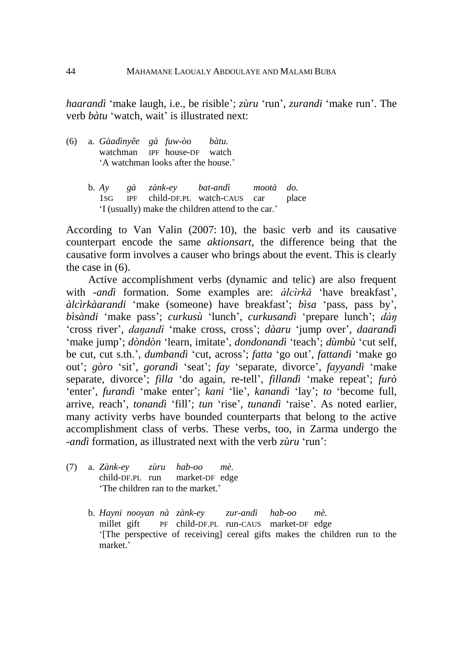*haarandì* 'make laugh, i.e., be risible'; *zùru* 'run', *zurandi* 'make run'. The verb *bàtu* 'watch, wait' is illustrated next:

- (6) a. *Gàadìnyêe gà fuw-òo bàtu.* watchman IPF house-DF watch 'A watchman looks after the house.'
	- b. *Ay gà zànk-ey bat-andì mootà do.* 1SG IPF child-DF.PL watch-CAUS car place 'I (usually) make the children attend to the car.'

According to Van Valin (2007: 10), the basic verb and its causative counterpart encode the same *aktionsart*, the difference being that the causative form involves a causer who brings about the event. This is clearly the case in (6).

Active accomplishment verbs (dynamic and telic) are also frequent with -*andì* formation. Some examples are: *àlcìrkǎ* 'have breakfast', *àlcìrkàarandi* 'make (someone) have breakfast'; *bìsa* 'pass, pass by', *bìsàndi* 'make pass'; *curkusù* 'lunch', *curkusandì* 'prepare lunch'; *dàŋ* 'cross river', *daŋandì* 'make cross, cross'; *dàaru* 'jump over', *daarandì* 'make jump'; *dòndòn* 'learn, imitate', *dondonandì* 'teach'; *dùmbù* 'cut self, be cut, cut s.th.', *dumbandì* 'cut, across'; *fatta* 'go out', *fattandì* 'make go out'; *gòro* 'sit', *gorandì* 'seat'; *fay* 'separate, divorce', *fayyandì* 'make separate, divorce'; *filla* 'do again, re-tell', *fillandì* 'make repeat'; *furò* 'enter', *furandì* 'make enter'; *kani* 'lie', *kanandì* 'lay'; *to* 'become full, arrive, reach', *tonandì* 'fill'; *tun* 'rise', *tunandì* 'raise'. As noted earlier, many activity verbs have bounded counterparts that belong to the active accomplishment class of verbs. These verbs, too, in Zarma undergo the -*andì* formation, as illustrated next with the verb *zùru* 'run':

- (7) a. *Zànk-ey zùru hab-oo mè.* child-DF.PL run market-DF edge 'The children ran to the market.'
	- b. *Hayni nooyan nà zànk-ey zur-andì hab-oo mè.* millet gift PF child-DF.PL run-CAUS market-DF edge '[The perspective of receiving] cereal gifts makes the children run to the market.'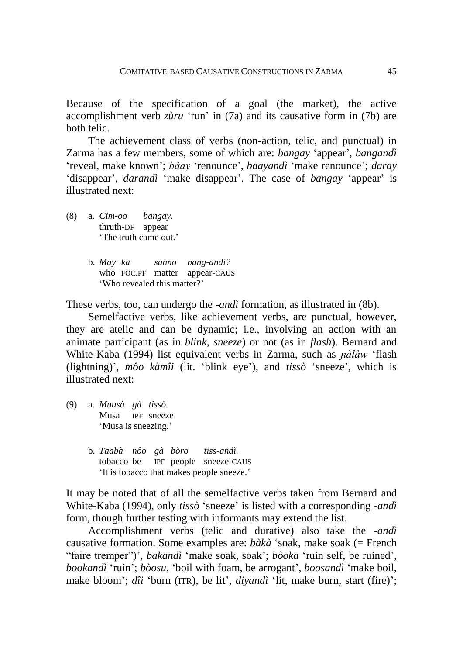Because of the specification of a goal (the market), the active accomplishment verb *zùru* 'run' in (7a) and its causative form in (7b) are both telic.

The achievement class of verbs (non-action, telic, and punctual) in Zarma has a few members, some of which are: *bangay* 'appear', *bangandì* 'reveal, make known'; *bǎay* 'renounce', *baayandì* 'make renounce'; *daray* 'disappear', *darandì* 'make disappear'. The case of *bangay* 'appear' is illustrated next:

(8) a. *Cim-oo bangay.* thruth-DF appear 'The truth came out.'

> b. *May ka sanno bang-andì?* who FOC.PF matter appear-CAUS 'Who revealed this matter?'

These verbs, too, can undergo the -*andì* formation, as illustrated in (8b).

Semelfactive verbs, like achievement verbs, are punctual, however, they are atelic and can be dynamic; i.e., involving an action with an animate participant (as in *blink*, *sneeze*) or not (as in *flash*). Bernard and White-Kaba (1994) list equivalent verbs in Zarma, such as *ɲàlàw* 'flash (lightning)', *môo kàmîi* (lit. 'blink eye'), and *tissò* 'sneeze', which is illustrated next:

- (9) a. *Muusà gà tissò.* Musa IPF sneeze 'Musa is sneezing.'
	- b. *Taabà nôo gà bòro tiss-andì.* tobacco be IPF people sneeze-CAUS 'It is tobacco that makes people sneeze.'

It may be noted that of all the semelfactive verbs taken from Bernard and White-Kaba (1994), only *tissò* 'sneeze' is listed with a corresponding -*andì* form, though further testing with informants may extend the list.

Accomplishment verbs (telic and durative) also take the -*andì* causative formation. Some examples are: *bàkà* 'soak, make soak (= French "faire tremper")', *bakandì* 'make soak, soak'; *bòoka* 'ruin self, be ruined', *bookandì* 'ruin'; *bòosu*, 'boil with foam, be arrogant', *boosandì* 'make boil, make bloom'; *dîi* 'burn (ITR), be lit', *diyandì* 'lit, make burn, start (fire)';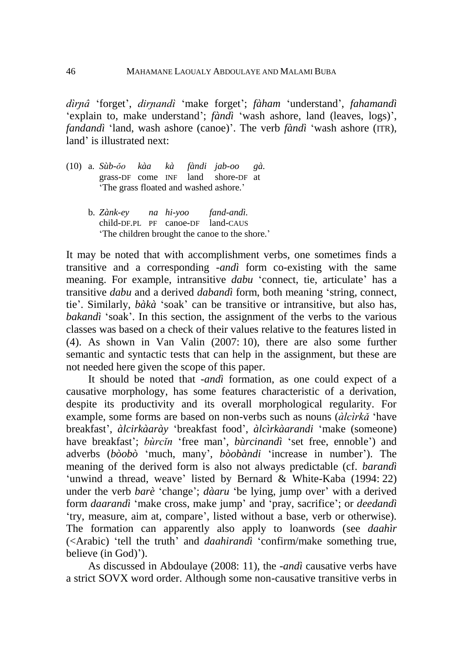*dìrɲâ* 'forget', *dirɲandì* 'make forget'; *fàham* 'understand', *fahamandì* 'explain to, make understand'; *fàndì* 'wash ashore, land (leaves, logs)', *fandandì* 'land, wash ashore (canoe)'. The verb *fàndì* 'wash ashore (ITR), land' is illustrated next:

- (10) a. *Sùb-ǒo kàa kà fàndi jab-oo gà.* grass-DF come INF land shore-DF at 'The grass floated and washed ashore.'
	- b. *Zànk-ey na hi-yoo fand-andì.* child-DF.PL PF canoe-DF land-CAUS 'The children brought the canoe to the shore.'

It may be noted that with accomplishment verbs, one sometimes finds a transitive and a corresponding -*andì* form co-existing with the same meaning. For example, intransitive *dabu* 'connect, tie, articulate' has a transitive *dabu* and a derived *dabandì* form, both meaning 'string, connect, tie'. Similarly, *bàkà* 'soak' can be transitive or intransitive, but also has, *bakandì* 'soak'. In this section, the assignment of the verbs to the various classes was based on a check of their values relative to the features listed in (4). As shown in Van Valin (2007: 10), there are also some further semantic and syntactic tests that can help in the assignment, but these are not needed here given the scope of this paper.

It should be noted that -*andì* formation, as one could expect of a causative morphology, has some features characteristic of a derivation, despite its productivity and its overall morphological regularity. For example, some forms are based on non-verbs such as nouns (*àlcìrkǎ* 'have breakfast', *àlcirkàarày* 'breakfast food', *àlcìrkàarandi* 'make (someone) have breakfast'; *bùrcǐn* 'free man', *bùrcinandì* 'set free, ennoble') and adverbs (*bòobò* 'much, many', *bòobàndi* 'increase in number'). The meaning of the derived form is also not always predictable (cf. *barandì* 'unwind a thread, weave' listed by Bernard & White-Kaba (1994: 22) under the verb *barè* 'change'; *dàaru* 'be lying, jump over' with a derived form *daarandì* 'make cross, make jump' and 'pray, sacrifice'; or *deedandì* 'try, measure, aim at, compare', listed without a base, verb or otherwise). The formation can apparently also apply to loanwords (see *daahìr* (<Arabic) 'tell the truth' and *daahirandì* 'confirm/make something true, believe (in God)').

As discussed in Abdoulaye (2008: 11), the -*andì* causative verbs have a strict SOVX word order. Although some non-causative transitive verbs in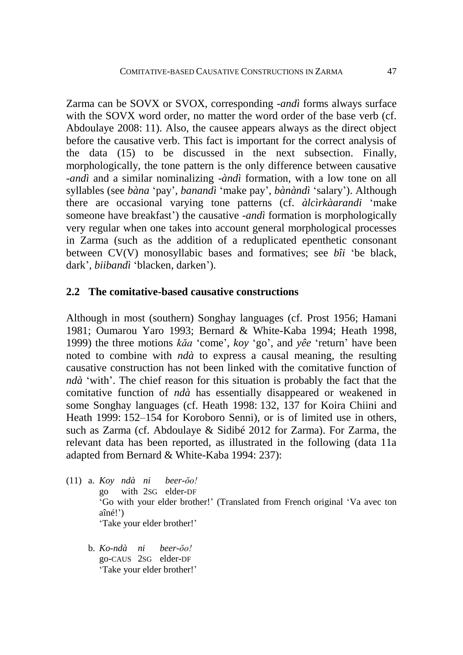Zarma can be SOVX or SVOX, corresponding -*andì* forms always surface with the SOVX word order, no matter the word order of the base verb (cf. Abdoulaye 2008: 11). Also, the causee appears always as the direct object before the causative verb. This fact is important for the correct analysis of the data (15) to be discussed in the next subsection. Finally, morphologically, the tone pattern is the only difference between causative -*andì* and a similar nominalizing -*àndì* formation, with a low tone on all syllables (see *bàna* 'pay', *banandì* 'make pay', *bànàndì* 'salary'). Although there are occasional varying tone patterns (cf. *àlcìrkàarandi* 'make someone have breakfast') the causative -*andì* formation is morphologically very regular when one takes into account general morphological processes in Zarma (such as the addition of a reduplicated epenthetic consonant between CV(V) monosyllabic bases and formatives; see *bîi* 'be black, dark', *biibandì* 'blacken, darken').

### **2.2 The comitative-based causative constructions**

Although in most (southern) Songhay languages (cf. Prost 1956; Hamani 1981; Oumarou Yaro 1993; Bernard & White-Kaba 1994; Heath 1998, 1999) the three motions *kăa* 'come', *koy* 'go', and *yêe* 'return' have been noted to combine with *ndà* to express a causal meaning, the resulting causative construction has not been linked with the comitative function of *ndà* 'with'. The chief reason for this situation is probably the fact that the comitative function of *ndà* has essentially disappeared or weakened in some Songhay languages (cf. Heath 1998: 132, 137 for Koira Chiini and Heath 1999: 152–154 for Koroboro Senni), or is of limited use in others, such as Zarma (cf. Abdoulaye & Sidibé 2012 for Zarma). For Zarma, the relevant data has been reported, as illustrated in the following (data 11a adapted from Bernard & White-Kaba 1994: 237):

- (11) a. *Koy ndà ni beer-ŏo!* go with 2SG elder-DF 'Go with your elder brother!' (Translated from French original 'Va avec ton aîné!') 'Take your elder brother!'
	- b. *Ko-ndà ni beer-ŏo!* go-CAUS 2SG elder-DF 'Take your elder brother!'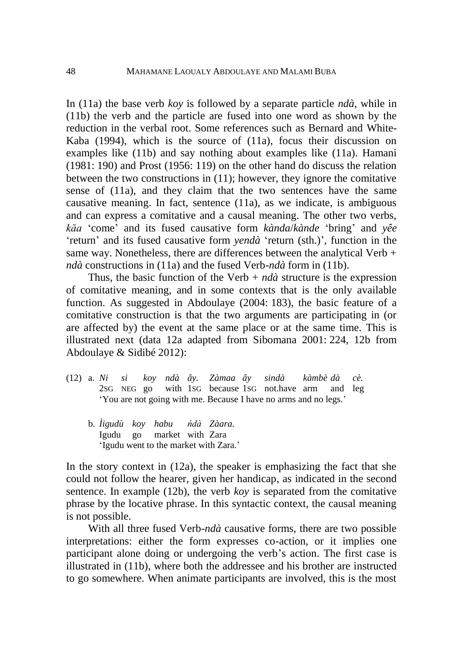In (11a) the base verb *koy* is followed by a separate particle *ndà*, while in (11b) the verb and the particle are fused into one word as shown by the reduction in the verbal root. Some references such as Bernard and White-Kaba (1994), which is the source of (11a), focus their discussion on examples like (11b) and say nothing about examples like (11a). Hamani (1981: 190) and Prost (1956: 119) on the other hand do discuss the relation between the two constructions in (11); however, they ignore the comitative sense of (11a), and they claim that the two sentences have the same causative meaning. In fact, sentence (11a), as we indicate, is ambiguous and can express a comitative and a causal meaning. The other two verbs, *kăa* 'come' and its fused causative form *kànda*/*kànde* 'bring' and *yêe* 'return' and its fused causative form *yendà* 'return (sth.)', function in the same way. Nonetheless, there are differences between the analytical Verb + *ndà* constructions in (11a) and the fused Verb-*ndà* form in (11b).

Thus, the basic function of the Verb  $+ nd\hat{a}$  structure is the expression of comitative meaning, and in some contexts that is the only available function. As suggested in Abdoulaye (2004: 183), the basic feature of a comitative construction is that the two arguments are participating in (or are affected by) the event at the same place or at the same time. This is illustrated next (data 12a adapted from Sibomana 2001: 224, 12b from Abdoulaye & Sidibé 2012):

- (12) a. *Ni si koy ndà ây. Zàmaa ây sindà kàmbè dà cè.* 2SG NEG go with 1SG because 1SG not.have arm and leg 'You are not going with me. Because I have no arms and no legs.'
	- b. *Ìigudù koy habu ńdà Zàara.* Igudu go market with Zara 'Igudu went to the market with Zara.'

In the story context in (12a), the speaker is emphasizing the fact that she could not follow the hearer, given her handicap, as indicated in the second sentence. In example (12b), the verb *koy* is separated from the comitative phrase by the locative phrase. In this syntactic context, the causal meaning is not possible.

With all three fused Verb-*ndà* causative forms, there are two possible interpretations: either the form expresses co-action, or it implies one participant alone doing or undergoing the verb's action. The first case is illustrated in (11b), where both the addressee and his brother are instructed to go somewhere. When animate participants are involved, this is the most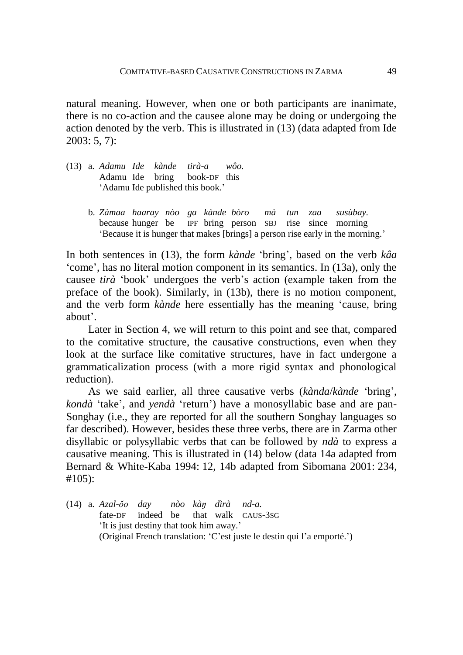natural meaning. However, when one or both participants are inanimate, there is no co-action and the causee alone may be doing or undergoing the action denoted by the verb. This is illustrated in (13) (data adapted from Ide 2003: 5, 7):

- (13) a. *Adamu Ide kànde tirà-a wôo.* Adamu Ide bring book-DF this 'Adamu Ide published this book.'
	- b. *Zàmaa haaray nòo ga kànde bòro mà tun zaa susùbay.* because hunger be IPF bring person SBJ rise since morning 'Because it is hunger that makes [brings] a person rise early in the morning.'

In both sentences in (13), the form *kànde* 'bring', based on the verb *kâa* 'come', has no literal motion component in its semantics. In (13a), only the causee *tirà* 'book' undergoes the verb's action (example taken from the preface of the book). Similarly, in (13b), there is no motion component, and the verb form *kànde* here essentially has the meaning 'cause, bring about'.

Later in Section 4, we will return to this point and see that, compared to the comitative structure, the causative constructions, even when they look at the surface like comitative structures, have in fact undergone a grammaticalization process (with a more rigid syntax and phonological reduction).

As we said earlier, all three causative verbs (*kànda*/*kànde* 'bring', *kondà* 'take', and *yendà* 'return') have a monosyllabic base and are pan-Songhay (i.e., they are reported for all the southern Songhay languages so far described). However, besides these three verbs, there are in Zarma other disyllabic or polysyllabic verbs that can be followed by *ndà* to express a causative meaning. This is illustrated in (14) below (data 14a adapted from Bernard & White-Kaba 1994: 12, 14b adapted from Sibomana 2001: 234, #105):

(14) a. *Azal-ŏo day nòo kàŋ dìrà nd-a.* fate-DF indeed be that walk CAUS-3SG 'It is just destiny that took him away.' (Original French translation: 'C'est juste le destin qui l'a emporté.')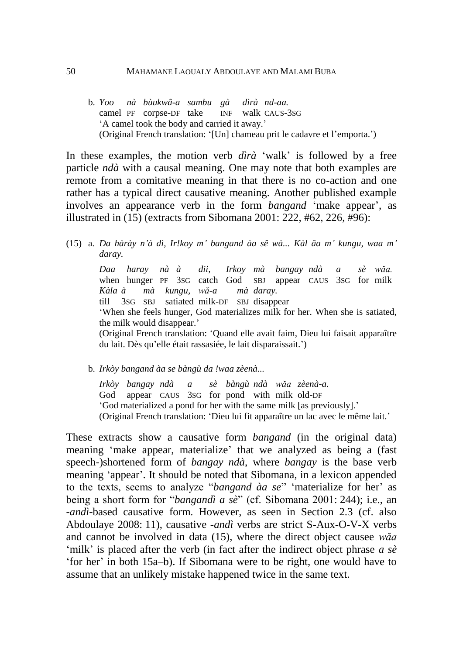#### 50 MAHAMANE LAOUALY ABDOULAYE AND MALAMI BUBA

b. *Yoo nà bùukwâ-a sambu gà dìrà nd-aa.* camel PF corpse-DF take INF walk CAUS-3SG 'A camel took the body and carried it away.' (Original French translation: '[Un] chameau prit le cadavre et l'emporta.')

In these examples, the motion verb *dìrà* 'walk' is followed by a free particle *ndà* with a causal meaning. One may note that both examples are remote from a comitative meaning in that there is no co-action and one rather has a typical direct causative meaning. Another published example involves an appearance verb in the form *bangand* 'make appear', as illustrated in (15) (extracts from Sibomana 2001: 222, #62, 226, #96):

(15) a. *Da hàrày n'à dì, Ir!koy m' bangand àa sê wà... Kàl âa m' kungu, waa m' daray.*

*Daa haray nà à dii, Irkoy mà bangay ndà a sè wăa.* when hunger PF 3SG catch God SBJ appear CAUS 3SG for milk *Kàla à mà kungu, wă-a mà daray.* till 3SG SBJ satiated milk-DF SBJ disappear 'When she feels hunger, God materializes milk for her. When she is satiated, the milk would disappear.' (Original French translation: 'Quand elle avait faim, Dieu lui faisait apparaître du lait. Dès qu'elle était rassasiée, le lait disparaissait.')

b. *Irkòy bangand àa se bàngù da !waa zèenà...*

*Irkòy bangay ndà a sè bàngù ndà wăa zèenà-a.* God appear CAUS 3SG for pond with milk old-DF 'God materialized a pond for her with the same milk [as previously].' (Original French translation: 'Dieu lui fit apparaître un lac avec le même lait.'

These extracts show a causative form *bangand* (in the original data) meaning 'make appear, materialize' that we analyzed as being a (fast speech-)shortened form of *bangay ndà*, where *bangay* is the base verb meaning 'appear'. It should be noted that Sibomana, in a lexicon appended to the texts, seems to analyze "*bangand àa se*" 'materialize for her' as being a short form for "*bangandì a sè*" (cf. Sibomana 2001: 244); i.e., an -*andì*-based causative form. However, as seen in Section 2.3 (cf. also Abdoulaye 2008: 11), causative -*andì* verbs are strict S-Aux-O-V-X verbs and cannot be involved in data (15), where the direct object causee *wăa* 'milk' is placed after the verb (in fact after the indirect object phrase *a sè* 'for her' in both 15a–b). If Sibomana were to be right, one would have to assume that an unlikely mistake happened twice in the same text.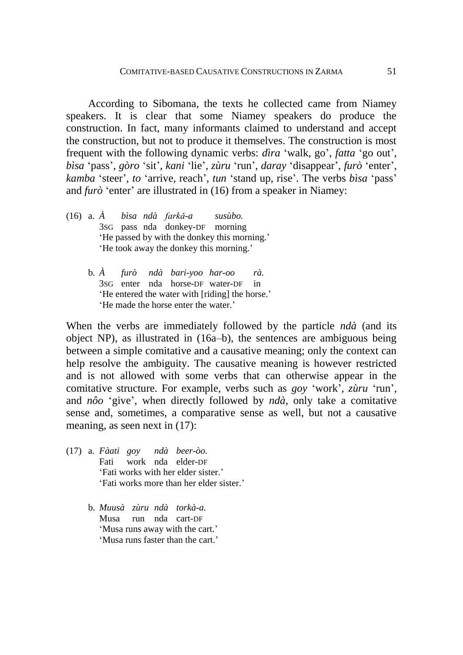According to Sibomana, the texts he collected came from Niamey speakers. It is clear that some Niamey speakers do produce the construction. In fact, many informants claimed to understand and accept the construction, but not to produce it themselves. The construction is most frequent with the following dynamic verbs: *dìra* 'walk, go', *fatta* 'go out', *bìsa* 'pass', *gòro* 'sit', *kani* 'lie', *zùru* 'run', *daray* 'disappear', *furò* 'enter', *kamba* 'steer', *to* 'arrive, reach', *tun* 'stand up, rise'. The verbs *bìsa* 'pass' and *furò* 'enter' are illustrated in (16) from a speaker in Niamey:

- (16) a. *À bìsa ndà farkǎ-a susùbo.* 3SG pass nda donkey-DF morning 'He passed by with the donkey this morning.' 'He took away the donkey this morning.'
	- b. *À furò ndà bari-yoo har-oo rà.* 3SG enter nda horse-DF water-DF in 'He entered the water with [riding] the horse.' 'He made the horse enter the water.'

When the verbs are immediately followed by the particle *ndà* (and its object NP), as illustrated in (16a–b), the sentences are ambiguous being between a simple comitative and a causative meaning; only the context can help resolve the ambiguity. The causative meaning is however restricted and is not allowed with some verbs that can otherwise appear in the comitative structure. For example, verbs such as *goy* 'work'*, zùru* 'run', and *nôo* 'give', when directly followed by *ndà*, only take a comitative sense and, sometimes, a comparative sense as well, but not a causative meaning, as seen next in  $(17)$ :

- (17) a. *Fàati goy ndà beer-òo.* Fati work nda elder-DF 'Fati works with her elder sister.' 'Fati works more than her elder sister.'
	- b. *Muusà zùru ndà torkà-a.* Musa run nda cart-DF 'Musa runs away with the cart.' 'Musa runs faster than the cart.'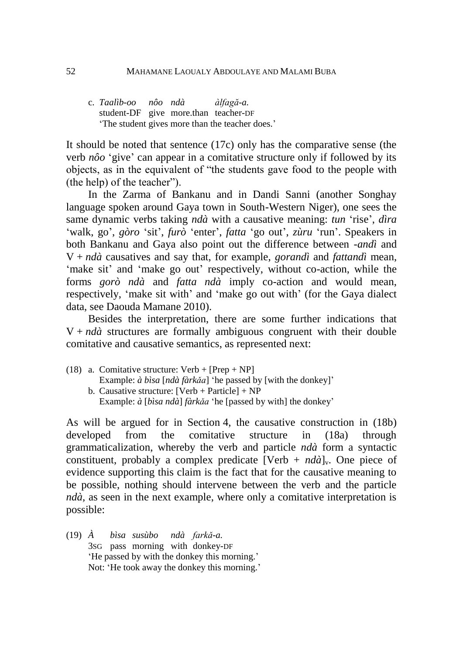#### 52 MAHAMANE LAOUALY ABDOULAYE AND MALAMI BUBA

c. *Taalìb-oo nôo ndà àlfagă-a.* student-DF give more.than teacher-DF 'The student gives more than the teacher does.'

It should be noted that sentence (17c) only has the comparative sense (the verb *nôo* 'give' can appear in a comitative structure only if followed by its objects, as in the equivalent of "the students gave food to the people with (the help) of the teacher").

In the Zarma of Bankanu and in Dandi Sanni (another Songhay language spoken around Gaya town in South-Western Niger), one sees the same dynamic verbs taking *ndà* with a causative meaning: *tun* 'rise', *dìra* 'walk, go', *gòro* 'sit', *furò* 'enter', *fatta* 'go out', *zùru* 'run'. Speakers in both Bankanu and Gaya also point out the difference between -*andì* and V + *ndà* causatives and say that, for example, *gorandì* and *fattandì* mean, 'make sit' and 'make go out' respectively, without co-action, while the forms *gorò ndà* and *fatta ndà* imply co-action and would mean, respectively, 'make sit with' and 'make go out with' (for the Gaya dialect data, see Daouda Mamane 2010).

Besides the interpretation, there are some further indications that  $V + nd\hat{a}$  structures are formally ambiguous congruent with their double comitative and causative semantics, as represented next:

- (18) a. Comitative structure:  $Verb + [Prep + NP]$ 
	- Example: *à bìsa* [*ndà fàrkǎa*] 'he passed by [with the donkey]' b. Causative structure:  $[Verb + Particle] + NP$
	- Example: *à* [*bìsa ndà*] *fàrkǎa* 'he [passed by with] the donkey'

As will be argued for in Section 4, the causative construction in (18b) developed from the comitative structure in (18a) through grammaticalization, whereby the verb and particle *ndà* form a syntactic constituent, probably a complex predicate  $[Verb + nd\hat{a}]_y$ . One piece of evidence supporting this claim is the fact that for the causative meaning to be possible, nothing should intervene between the verb and the particle *ndà*, as seen in the next example, where only a comitative interpretation is possible:

(19) *À bìsa susùbo ndà farkǎ-a.* 3SG pass morning with donkey-DF 'He passed by with the donkey this morning.' Not: 'He took away the donkey this morning.'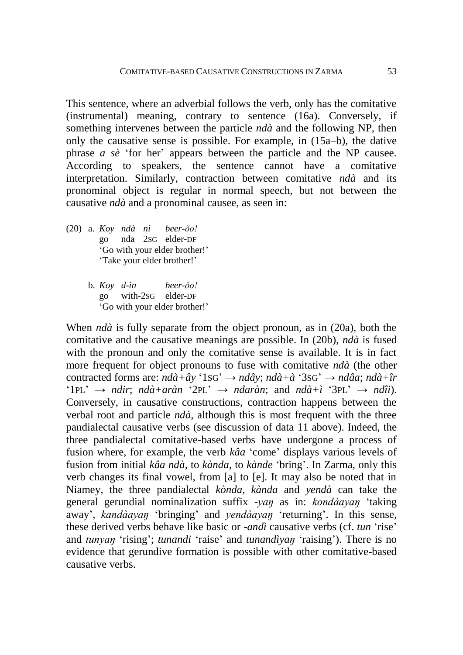This sentence, where an adverbial follows the verb, only has the comitative (instrumental) meaning, contrary to sentence (16a). Conversely, if something intervenes between the particle *ndà* and the following NP, then only the causative sense is possible. For example, in (15a–b), the dative phrase *a sè* 'for her' appears between the particle and the NP causee. According to speakers, the sentence cannot have a comitative interpretation. Similarly, contraction between comitative *ndà* and its pronominal object is regular in normal speech, but not between the causative *ndà* and a pronominal causee, as seen in:

- (20) a. *Koy ndà ni beer-ǒo!* go nda 2SG elder-DF 'Go with your elder brother!' 'Take your elder brother!'
	- b. *Koy d-ìn beer-ǒo!* go with-2SG elder-DF 'Go with your elder brother!'

When *ndà* is fully separate from the object pronoun, as in (20a), both the comitative and the causative meanings are possible. In (20b), *ndà* is fused with the pronoun and only the comitative sense is available. It is in fact more frequent for object pronouns to fuse with comitative *ndà* (the other contracted forms are: *ndà+ây* '1SG' → *ndây*; *ndà+à* '3SG' → *ndâa*; *ndà+îr* '1PL'  $\rightarrow$  *ndir*; *ndà+aràn* '2PL'  $\rightarrow$  *ndaràn*; and *ndà+ì* '3PL'  $\rightarrow$  *ndîi*). Conversely, in causative constructions, contraction happens between the verbal root and particle *ndà*, although this is most frequent with the three pandialectal causative verbs (see discussion of data 11 above). Indeed, the three pandialectal comitative-based verbs have undergone a process of fusion where, for example, the verb *kâa* 'come' displays various levels of fusion from initial *kâa ndà*, to *kànda*, to *kànde* 'bring'. In Zarma, only this verb changes its final vowel, from [a] to [e]. It may also be noted that in Niamey, the three pandialectal *kònda*, *kànda* and *yendà* can take the general gerundial nominalization suffix *-yaŋ* as in: *kondàayaŋ* 'taking away', *kandàayaŋ* 'bringing' and *yendàayaŋ* 'returning'. In this sense, these derived verbs behave like basic or -*andì* causative verbs (cf. *tun* 'rise' and *tunyaŋ* 'rising'; *tunandi* 'raise' and *tunandìyaŋ* 'raising'). There is no evidence that gerundive formation is possible with other comitative-based causative verbs.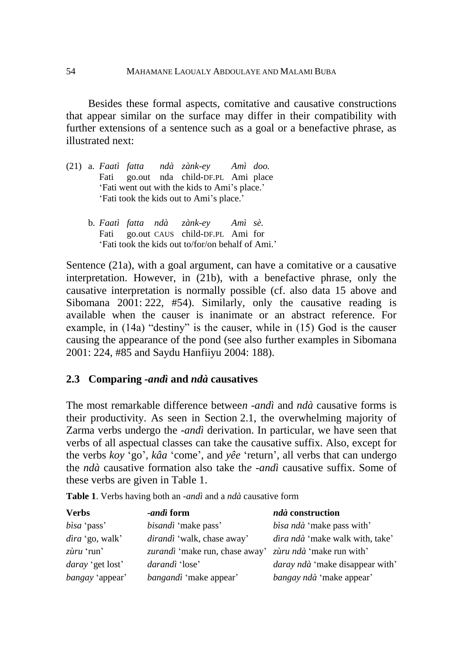Besides these formal aspects, comitative and causative constructions that appear similar on the surface may differ in their compatibility with further extensions of a sentence such as a goal or a benefactive phrase, as illustrated next:

- (21) a. *Faatì fatta ndà zànk-ey Amì doo.* Fati go.out nda child-DF.PL Ami place 'Fati went out with the kids to Ami's place.' 'Fati took the kids out to Ami's place.'
	- b. *Faatì fatta ndà zànk-ey Amì sè.* Fati go.out CAUS child-DF.PL Ami for 'Fati took the kids out to/for/on behalf of Ami.'

Sentence (21a), with a goal argument, can have a comitative or a causative interpretation. However, in (21b), with a benefactive phrase, only the causative interpretation is normally possible (cf. also data 15 above and Sibomana 2001: 222, #54). Similarly, only the causative reading is available when the causer is inanimate or an abstract reference. For example, in (14a) "destiny" is the causer, while in (15) God is the causer causing the appearance of the pond (see also further examples in Sibomana 2001: 224, #85 and Saydu Hanfiiyu 2004: 188).

### **2.3 Comparing** *-andì* **and** *ndà* **causatives**

The most remarkable difference betwee*n -andì* and *ndà* causative forms is their productivity. As seen in Section 2.1, the overwhelming majority of Zarma verbs undergo the -*andì* derivation. In particular, we have seen that verbs of all aspectual classes can take the causative suffix. Also, except for the verbs *koy* 'go', *kâa* 'come', and *yêe* 'return', all verbs that can undergo the *ndà* causative formation also take th*e -andì* causative suffix. Some of these verbs are given in Table 1.

|  | Table 1. Verbs having both an -andì and a ndà causative form |  |  |  |  |  |
|--|--------------------------------------------------------------|--|--|--|--|--|
|--|--------------------------------------------------------------|--|--|--|--|--|

| <b>Verbs</b>            | <i>-andì</i> form                                       | ndà construction                       |
|-------------------------|---------------------------------------------------------|----------------------------------------|
| bisa 'pass'             | <i>bisandì</i> 'make pass'                              | <i>bisa ndà</i> 'make pass with'       |
| $dira$ 'go, walk'       | <i>dirandi</i> 'walk, chase away'                       | dìra ndà 'make walk with, take'        |
| $z\hat{u}ru$ 'run'      | zurandì 'make run, chase away' zùru ndà 'make run with' |                                        |
| <i>daray</i> 'get lost' | darandì 'lose'                                          | <i>daray ndà</i> 'make disappear with' |
| <i>bangay</i> 'appear'  | <i>bangandì</i> 'make appear'                           | bangay ndà 'make appear'               |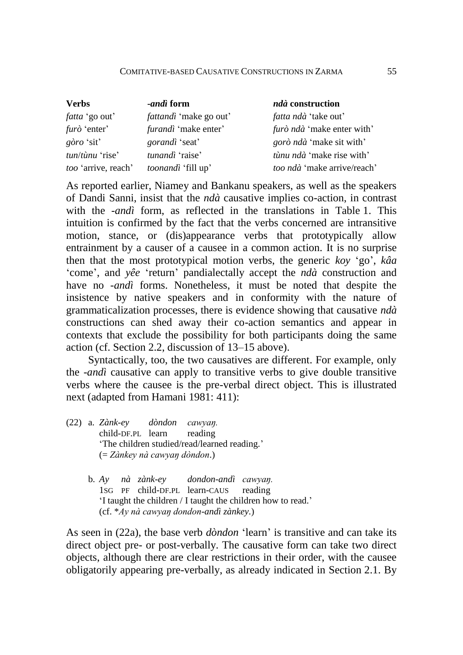#### COMITATIVE-BASED CAUSATIVE CONSTRUCTIONS IN ZARMA 55

| <b>Verbs</b>               | <i>-andi</i> form             | ndà construction                  |
|----------------------------|-------------------------------|-----------------------------------|
| <i>fatta</i> 'go out'      | <i>fattandi</i> 'make go out' | <i>fatta ndà</i> 'take out'       |
| <i>furò</i> 'enter'        | <i>furandì</i> 'make enter'   | <i>furò ndà</i> 'make enter with' |
| $g\grave{o}ro$ 'sit'       | <i>gorandi</i> 'seat'         | <i>gorò ndà</i> 'make sit with'   |
| $t$ un/tùnu 'rise'         | tunandì 'raise'               | tùnu ndà 'make rise with'         |
| <i>too</i> 'arrive, reach' | <i>toonandi</i> 'fill up'     | too ndà 'make arrive/reach'       |

As reported earlier, Niamey and Bankanu speakers, as well as the speakers of Dandi Sanni, insist that the *ndà* causative implies co-action, in contrast with the -*andì* form, as reflected in the translations in Table 1. This intuition is confirmed by the fact that the verbs concerned are intransitive motion, stance, or (dis)appearance verbs that prototypically allow entrainment by a causer of a causee in a common action. It is no surprise then that the most prototypical motion verbs, the generic *koy* 'go', *kâa* 'come', and *yêe* 'return' pandialectally accept the *ndà* construction and have no *-andì* forms. Nonetheless, it must be noted that despite the insistence by native speakers and in conformity with the nature of grammaticalization processes, there is evidence showing that causative *ndà* constructions can shed away their co-action semantics and appear in contexts that exclude the possibility for both participants doing the same action (cf. Section 2.2, discussion of 13–15 above).

Syntactically, too, the two causatives are different. For example, only the -*andì* causative can apply to transitive verbs to give double transitive verbs where the causee is the pre-verbal direct object. This is illustrated next (adapted from Hamani 1981: 411):

- (22) a. *Zànk-ey dòndon cawyaŋ.* child-DF.PL learn reading 'The children studied/read/learned reading.' (= *Zànkey nà cawyaŋ dòndon*.)
	- b. *Ay nà zànk-ey dondon-andì cawyaŋ.* 1SG PF child-DF.PL learn-CAUS reading 'I taught the children / I taught the children how to read.' (cf. \**Ay nà cawyaŋ dondon-andì zànkey*.)

As seen in (22a), the base verb *dòndon* 'learn' is transitive and can take its direct object pre- or post-verbally. The causative form can take two direct objects, although there are clear restrictions in their order, with the causee obligatorily appearing pre-verbally, as already indicated in Section 2.1. By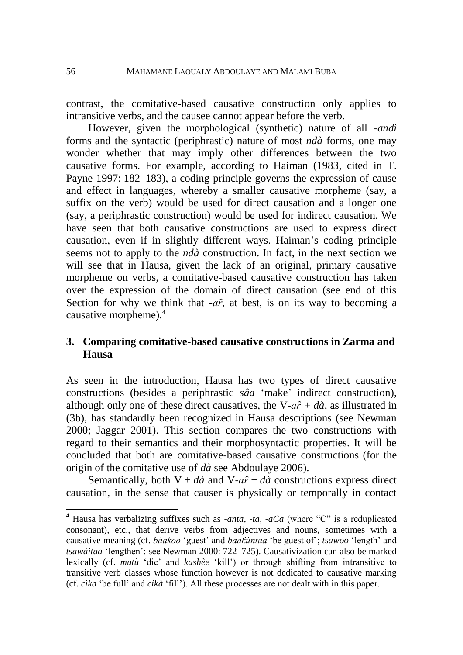contrast, the comitative-based causative construction only applies to intransitive verbs, and the causee cannot appear before the verb.

However, given the morphological (synthetic) nature of all -*andì* forms and the syntactic (periphrastic) nature of most *ndà* forms, one may wonder whether that may imply other differences between the two causative forms. For example, according to Haiman (1983, cited in T. Payne 1997: 182–183), a coding principle governs the expression of cause and effect in languages, whereby a smaller causative morpheme (say, a suffix on the verb) would be used for direct causation and a longer one (say, a periphrastic construction) would be used for indirect causation. We have seen that both causative constructions are used to express direct causation, even if in slightly different ways. Haiman's coding principle seems not to apply to the *ndà* construction. In fact, in the next section we will see that in Hausa, given the lack of an original, primary causative morpheme on verbs, a comitative-based causative construction has taken over the expression of the domain of direct causation (see end of this Section for why we think that  $-a\hat{r}$ , at best, is on its way to becoming a causative morpheme).<sup>4</sup>

## **3. Comparing comitative-based causative constructions in Zarma and Hausa**

As seen in the introduction, Hausa has two types of direct causative constructions (besides a periphrastic *sâa* 'make' indirect construction), although only one of these direct causatives, the V- $a\hat{r} + d\hat{a}$ , as illustrated in (3b), has standardly been recognized in Hausa descriptions (see Newman 2000; Jaggar 2001). This section compares the two constructions with regard to their semantics and their morphosyntactic properties. It will be concluded that both are comitative-based causative constructions (for the origin of the comitative use of *dà* see Abdoulaye 2006).

Semantically, both  $V + d\hat{a}$  and  $V - a\hat{r} + d\hat{a}$  constructions express direct causation, in the sense that causer is physically or temporally in contact

<u>.</u>

<sup>4</sup> Hausa has verbalizing suffixes such as -*anta*, -*ta*, -*aCa* (where "C" is a reduplicated consonant), etc., that derive verbs from adjectives and nouns, sometimes with a causative meaning (cf. *bàaƙoo* 'guest' and *baaƙùntaa* 'be guest of'; *tsawoo* 'length' and *tsawàitaa* 'lengthen'; see Newman 2000: 722–725). Causativization can also be marked lexically (cf. *mutù* 'die' and *kashèe* 'kill') or through shifting from intransitive to transitive verb classes whose function however is not dedicated to causative marking (cf. *cìka* 'be full' and *cikà* 'fill'). All these processes are not dealt with in this paper.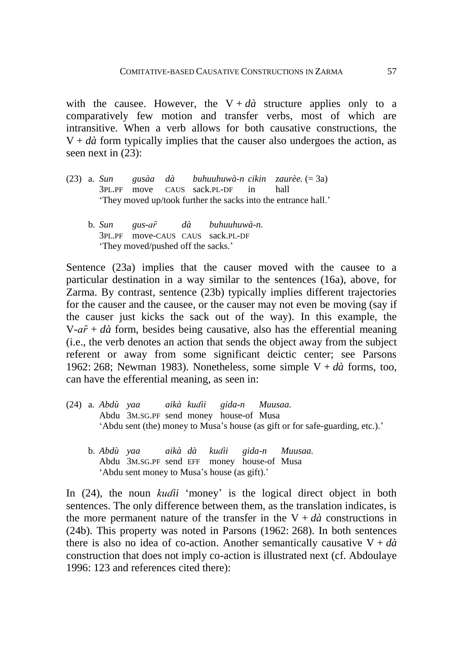with the causee. However, the  $V + d\hat{a}$  structure applies only to a comparatively few motion and transfer verbs, most of which are intransitive. When a verb allows for both causative constructions, the  $V + d\hat{a}$  form typically implies that the causer also undergoes the action, as seen next in (23):

- (23) a. *Sun gusàa dà buhuuhuwà-n cikin zaurèe.* (= 3a) 3PL.PF move CAUS sack.PL-DF in hall 'They moved up/took further the sacks into the entrance hall.'
	- b. *Sun gus-aȓ dà buhuuhuwà-n.* 3PL.PF move-CAUS CAUS sack.PL-DF 'They moved/pushed off the sacks.'

Sentence (23a) implies that the causer moved with the causee to a particular destination in a way similar to the sentences (16a), above, for Zarma. By contrast, sentence (23b) typically implies different trajectories for the causer and the causee, or the causer may not even be moving (say if the causer just kicks the sack out of the way). In this example, the  $V-a\hat{r} + d\hat{a}$  form, besides being causative, also has the efferential meaning (i.e., the verb denotes an action that sends the object away from the subject referent or away from some significant deictic center; see Parsons 1962: 268; Newman 1983). Nonetheless, some simple V + *dà* forms, too, can have the efferential meaning, as seen in:

- (24) a. *Abdù yaa aikà kuɗii gida-n Muusaa.* Abdu 3M.SG.PF send money house-of Musa 'Abdu sent (the) money to Musa's house (as gift or for safe-guarding, etc.).'
	- b. *Abdù yaa aikà dà kuɗii gida-n Muusaa.* Abdu 3M.SG.PF send EFF money house-of Musa 'Abdu sent money to Musa's house (as gift).'

In (24), the noun *kuɗii* 'money' is the logical direct object in both sentences. The only difference between them, as the translation indicates, is the more permanent nature of the transfer in the  $V + d\dot{a}$  constructions in (24b). This property was noted in Parsons (1962: 268). In both sentences there is also no idea of co-action. Another semantically causative  $V + d\dot{a}$ construction that does not imply co-action is illustrated next (cf. Abdoulaye 1996: 123 and references cited there):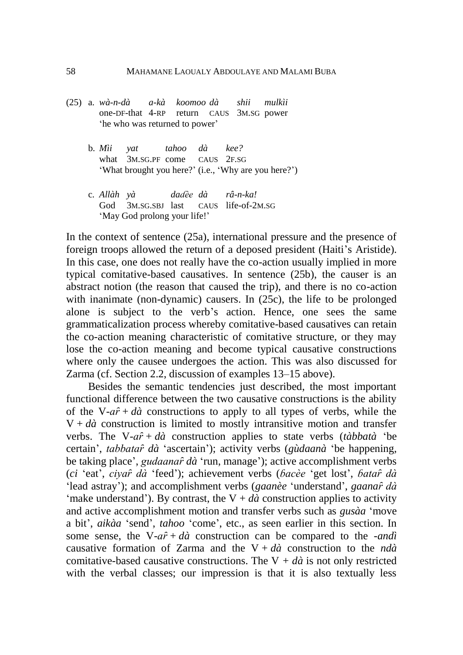- (25) a. *wà-n-dà a-kà koomoo dà shii mulkìi* one-DF-that 4-RP return CAUS 3M.SG power 'he who was returned to power'
	- b. *Mìi yat tahoo dà kee?* what 3M.SG.PF come CAUS 2F.SG 'What brought you here?' (i.e., 'Why are you here?')
	- c. *Allàh yà daɗèe dà râ-n-ka!* God 3M.SG.SBJ last CAUS life-of-2M.SG 'May God prolong your life!'

In the context of sentence (25a), international pressure and the presence of foreign troops allowed the return of a deposed president (Haiti's Aristide). In this case, one does not really have the co-action usually implied in more typical comitative-based causatives. In sentence (25b), the causer is an abstract notion (the reason that caused the trip), and there is no co-action with inanimate (non-dynamic) causers. In (25c), the life to be prolonged alone is subject to the verb's action. Hence, one sees the same grammaticalization process whereby comitative-based causatives can retain the co-action meaning characteristic of comitative structure, or they may lose the co-action meaning and become typical causative constructions where only the causee undergoes the action. This was also discussed for Zarma (cf. Section 2.2, discussion of examples 13–15 above).

Besides the semantic tendencies just described, the most important functional difference between the two causative constructions is the ability of the V- $a\hat{r}$  +  $d\hat{a}$  constructions to apply to all types of verbs, while the  $V + d\hat{a}$  construction is limited to mostly intransitive motion and transfer verbs. The V-*aȓ* + *dà* construction applies to state verbs (*tàbbatà* 'be certain', *tabbataȓ dà* 'ascertain'); activity verbs (*gùdaanà* 'be happening, be taking place', *gudaanaȓ dà* 'run, manage'); active accomplishment verbs (*ci* 'eat', *ciyaȓ dà* 'feed'); achievement verbs (*ɓacèe* 'get lost', *ɓataȓ dà* 'lead astray'); and accomplishment verbs (*gaanèe* 'understand', *gaanaȓ dà* 'make understand'). By contrast, the  $V + d\hat{a}$  construction applies to activity and active accomplishment motion and transfer verbs such as *gusàa* 'move a bit', *aikàa* 'send', *tahoo* 'come', etc., as seen earlier in this section. In some sense, the V- $a\hat{r}$  +  $d\hat{a}$  construction can be compared to the -*andi* causative formation of Zarma and the  $V + d\hat{a}$  construction to the *ndà* comitative-based causative constructions. The  $V + d\hat{a}$  is not only restricted with the verbal classes; our impression is that it is also textually less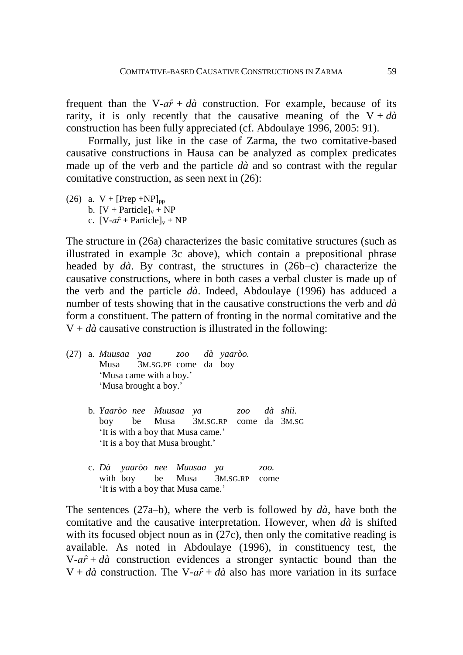frequent than the V- $a\hat{r}$  +  $d\hat{a}$  construction. For example, because of its rarity, it is only recently that the causative meaning of the  $V + d\dot{a}$ construction has been fully appreciated (cf. Abdoulaye 1996, 2005: 91).

Formally, just like in the case of Zarma, the two comitative-based causative constructions in Hausa can be analyzed as complex predicates made up of the verb and the particle *dà* and so contrast with the regular comitative construction, as seen next in (26):

(26) a.  $V + [Prep + NP]_{pp}$ b.  $[V + Particle]_v + NP$ c.  $[V-a\hat{r} + \text{Particle}]_{v} + NP$ 

The structure in (26a) characterizes the basic comitative structures (such as illustrated in example 3c above), which contain a prepositional phrase headed by *dà*. By contrast, the structures in (26b–c) characterize the causative constructions, where in both cases a verbal cluster is made up of the verb and the particle *dà*. Indeed, Abdoulaye (1996) has adduced a number of tests showing that in the causative constructions the verb and *dà* form a constituent. The pattern of fronting in the normal comitative and the  $V + d\hat{a}$  causative construction is illustrated in the following:

- (27) a. *Muusaa yaa zoo dà yaaròo.* Musa 3M.SG.PF come da boy 'Musa came with a boy.' 'Musa brought a boy.'
	- b. *Yaaròo nee Muusaa ya zoo dà shii.* boy be Musa 3M.SG.RP come da 3M.SG 'It is with a boy that Musa came.' 'It is a boy that Musa brought.'
	- c. *Dà yaaròo nee Muusaa ya zoo.* with boy be Musa 3M.SG.RP come 'It is with a boy that Musa came.'

The sentences  $(27a-b)$ , where the verb is followed by  $d\hat{a}$ , have both the comitative and the causative interpretation. However, when *dà* is shifted with its focused object noun as in (27c), then only the comitative reading is available. As noted in Abdoulaye (1996), in constituency test, the  $V-a\hat{r} + d\hat{a}$  construction evidences a stronger syntactic bound than the  $V + d\hat{a}$  construction. The V- $a\hat{r} + d\hat{a}$  also has more variation in its surface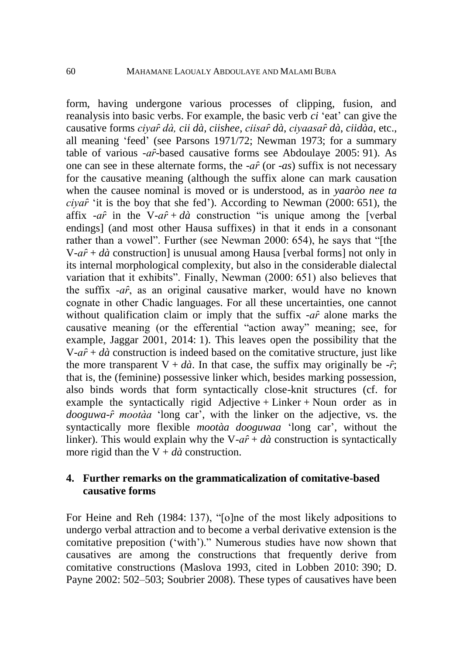form, having undergone various processes of clipping, fusion, and reanalysis into basic verbs. For example, the basic verb *ci* 'eat' can give the causative forms *ciyaȓ dà, cii dà, ciishee*, *ciisaȓ dà*, *ciyaasaȓ dà*, *ciidàa*, etc., all meaning 'feed' (see Parsons 1971/72; Newman 1973; for a summary table of various -*aȓ*-based causative forms see Abdoulaye 2005: 91). As one can see in these alternate forms, the -*aȓ* (or -*as*) suffix is not necessary for the causative meaning (although the suffix alone can mark causation when the causee nominal is moved or is understood, as in *yaaròo nee ta ciyaȓ* 'it is the boy that she fed'). According to Newman (2000: 651), the affix  $-a\hat{r}$  in the V- $a\hat{r} + d\hat{a}$  construction "is unique among the [verbal] endings] (and most other Hausa suffixes) in that it ends in a consonant rather than a vowel". Further (see Newman 2000: 654), he says that "[the V-*aȓ* + *dà* construction] is unusual among Hausa [verbal forms] not only in its internal morphological complexity, but also in the considerable dialectal variation that it exhibits". Finally, Newman (2000: 651) also believes that the suffix -*aȓ*, as an original causative marker, would have no known cognate in other Chadic languages. For all these uncertainties, one cannot without qualification claim or imply that the suffix -*af* alone marks the causative meaning (or the efferential "action away" meaning; see, for example, Jaggar 2001, 2014: 1). This leaves open the possibility that the  $V-a\hat{r} + d\hat{a}$  construction is indeed based on the comitative structure, just like the more transparent  $V + d\hat{a}$ . In that case, the suffix may originally be  $-\hat{r}$ ; that is, the (feminine) possessive linker which, besides marking possession, also binds words that form syntactically close-knit structures (cf. for example the syntactically rigid Adjective + Linker + Noun order as in *dooguwa-ȓ mootàa* 'long car', with the linker on the adjective, vs. the syntactically more flexible *mootàa dooguwaa* 'long car', without the linker). This would explain why the  $V-a\hat{r} + d\hat{a}$  construction is syntactically more rigid than the  $V + d\hat{a}$  construction.

### **4. Further remarks on the grammaticalization of comitative-based causative forms**

For Heine and Reh (1984: 137), "[o]ne of the most likely adpositions to undergo verbal attraction and to become a verbal derivative extension is the comitative preposition ('with')." Numerous studies have now shown that causatives are among the constructions that frequently derive from comitative constructions (Maslova 1993, cited in Lobben 2010: 390; D. Payne 2002: 502–503; Soubrier 2008). These types of causatives have been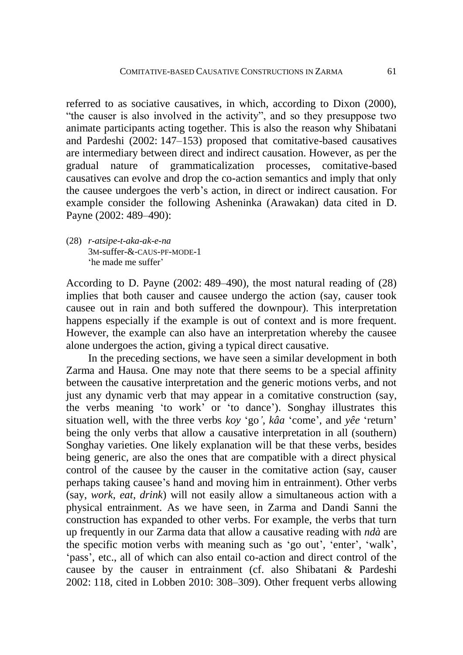referred to as sociative causatives, in which, according to Dixon (2000), "the causer is also involved in the activity", and so they presuppose two animate participants acting together. This is also the reason why Shibatani and Pardeshi (2002: 147–153) proposed that comitative-based causatives are intermediary between direct and indirect causation. However, as per the gradual nature of grammaticalization processes, comitative-based causatives can evolve and drop the co-action semantics and imply that only the causee undergoes the verb's action, in direct or indirect causation. For example consider the following Asheninka (Arawakan) data cited in D. Payne (2002: 489–490):

(28) *r-atsipe-t-aka-ak-e-na* 3M-suffer-&-CAUS-PF-MODE-1 'he made me suffer'

According to D. Payne (2002: 489–490), the most natural reading of (28) implies that both causer and causee undergo the action (say, causer took causee out in rain and both suffered the downpour). This interpretation happens especially if the example is out of context and is more frequent. However, the example can also have an interpretation whereby the causee alone undergoes the action, giving a typical direct causative.

In the preceding sections, we have seen a similar development in both Zarma and Hausa. One may note that there seems to be a special affinity between the causative interpretation and the generic motions verbs, and not just any dynamic verb that may appear in a comitative construction (say, the verbs meaning 'to work' or 'to dance'). Songhay illustrates this situation well, with the three verbs *koy* 'go*', kâa* 'come', and *yêe* 'return' being the only verbs that allow a causative interpretation in all (southern) Songhay varieties. One likely explanation will be that these verbs, besides being generic, are also the ones that are compatible with a direct physical control of the causee by the causer in the comitative action (say, causer perhaps taking causee's hand and moving him in entrainment). Other verbs (say, *work*, *eat*, *drink*) will not easily allow a simultaneous action with a physical entrainment. As we have seen, in Zarma and Dandi Sanni the construction has expanded to other verbs. For example, the verbs that turn up frequently in our Zarma data that allow a causative reading with *ndà* are the specific motion verbs with meaning such as 'go out', 'enter', 'walk', 'pass', etc., all of which can also entail co-action and direct control of the causee by the causer in entrainment (cf. also Shibatani & Pardeshi 2002: 118, cited in Lobben 2010: 308–309). Other frequent verbs allowing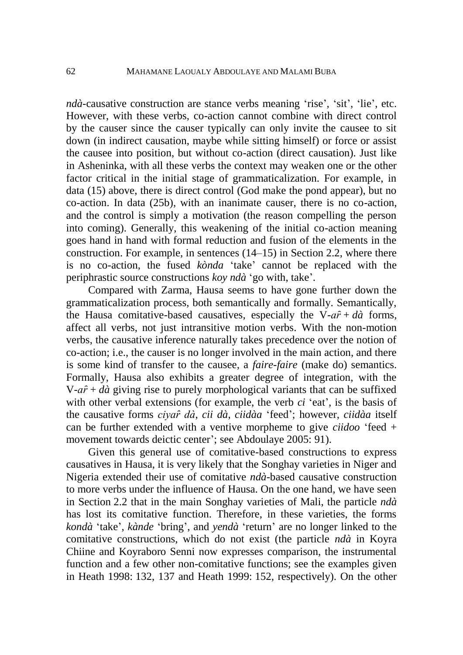*ndà-*causative construction are stance verbs meaning 'rise', 'sit', 'lie', etc. However, with these verbs, co-action cannot combine with direct control by the causer since the causer typically can only invite the causee to sit down (in indirect causation, maybe while sitting himself) or force or assist the causee into position, but without co-action (direct causation). Just like in Asheninka, with all these verbs the context may weaken one or the other factor critical in the initial stage of grammaticalization. For example, in data (15) above, there is direct control (God make the pond appear), but no co-action. In data (25b), with an inanimate causer, there is no co-action, and the control is simply a motivation (the reason compelling the person into coming). Generally, this weakening of the initial co-action meaning goes hand in hand with formal reduction and fusion of the elements in the construction. For example, in sentences (14–15) in Section 2.2, where there is no co-action, the fused *kònda* 'take' cannot be replaced with the periphrastic source constructions *koy ndà* 'go with, take'.

Compared with Zarma, Hausa seems to have gone further down the grammaticalization process, both semantically and formally. Semantically, the Hausa comitative-based causatives, especially the V- $a\hat{r} + d\hat{a}$  forms, affect all verbs, not just intransitive motion verbs. With the non-motion verbs, the causative inference naturally takes precedence over the notion of co-action; i.e., the causer is no longer involved in the main action, and there is some kind of transfer to the causee, a *faire-faire* (make do) semantics. Formally, Hausa also exhibits a greater degree of integration, with the  $V-a\hat{r} + d\hat{a}$  giving rise to purely morphological variants that can be suffixed with other verbal extensions (for example, the verb *ci* 'eat', is the basis of the causative forms *ciyaȓ dà*, *cii dà*, *ciidàa* 'feed'; however, *ciidàa* itself can be further extended with a ventive morpheme to give *ciidoo* 'feed + movement towards deictic center'; see Abdoulaye 2005: 91).

Given this general use of comitative-based constructions to express causatives in Hausa, it is very likely that the Songhay varieties in Niger and Nigeria extended their use of comitative *ndà*-based causative construction to more verbs under the influence of Hausa. On the one hand, we have seen in Section 2.2 that in the main Songhay varieties of Mali, the particle *ndà* has lost its comitative function. Therefore, in these varieties, the forms *kondà* 'take', *kànde* 'bring', and *yendà* 'return' are no longer linked to the comitative constructions, which do not exist (the particle *ndà* in Koyra Chiine and Koyraboro Senni now expresses comparison, the instrumental function and a few other non-comitative functions; see the examples given in Heath 1998: 132, 137 and Heath 1999: 152, respectively). On the other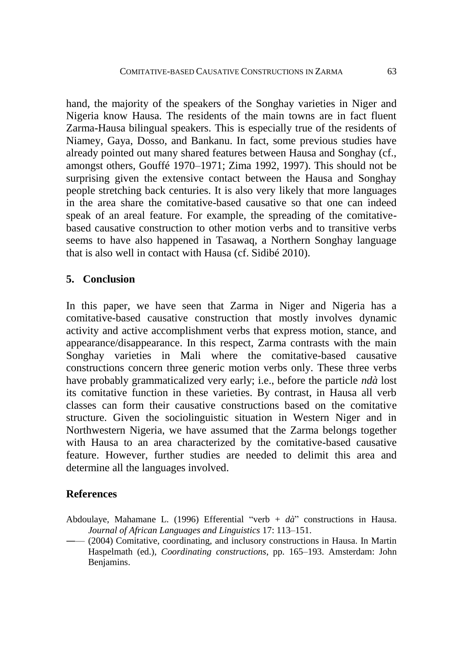hand, the majority of the speakers of the Songhay varieties in Niger and Nigeria know Hausa. The residents of the main towns are in fact fluent Zarma-Hausa bilingual speakers. This is especially true of the residents of Niamey, Gaya, Dosso, and Bankanu. In fact, some previous studies have already pointed out many shared features between Hausa and Songhay (cf., amongst others, Gouffé 1970–1971; Zima 1992, 1997). This should not be surprising given the extensive contact between the Hausa and Songhay people stretching back centuries. It is also very likely that more languages in the area share the comitative-based causative so that one can indeed speak of an areal feature. For example, the spreading of the comitativebased causative construction to other motion verbs and to transitive verbs seems to have also happened in Tasawaq, a Northern Songhay language that is also well in contact with Hausa (cf. Sidibé 2010).

## **5. Conclusion**

In this paper, we have seen that Zarma in Niger and Nigeria has a comitative-based causative construction that mostly involves dynamic activity and active accomplishment verbs that express motion, stance, and appearance/disappearance. In this respect, Zarma contrasts with the main Songhay varieties in Mali where the comitative-based causative constructions concern three generic motion verbs only. These three verbs have probably grammaticalized very early; i.e., before the particle *ndà* lost its comitative function in these varieties. By contrast, in Hausa all verb classes can form their causative constructions based on the comitative structure. Given the sociolinguistic situation in Western Niger and in Northwestern Nigeria, we have assumed that the Zarma belongs together with Hausa to an area characterized by the comitative-based causative feature. However, further studies are needed to delimit this area and determine all the languages involved.

## **References**

- Abdoulaye, Mahamane L. (1996) Efferential "verb + *dà*" constructions in Hausa. *Journal of African Languages and Linguistics* 17: 113–151.
- ―— (2004) Comitative, coordinating, and inclusory constructions in Hausa. In Martin Haspelmath (ed.), *Coordinating constructions*, pp. 165–193. Amsterdam: John Benjamins.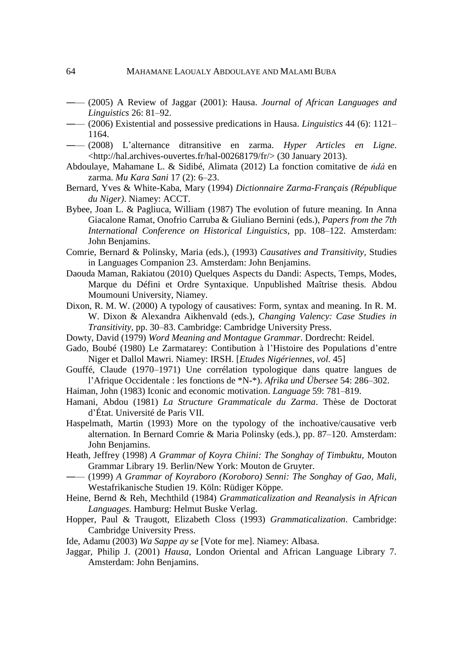- ―— (2005) A Review of Jaggar (2001): Hausa. *Journal of African Languages and Linguistics* 26: 81–92.
- ―— (2006) Existential and possessive predications in Hausa. *Linguistics* 44 (6): 1121– 1164.
- ―— (2008) L'alternance ditransitive en zarma. *Hyper Articles en Ligne*. <http://hal.archives-ouvertes.fr/hal-00268179/fr/> (30 January 2013).
- Abdoulaye, Mahamane L. & Sidibé, Alimata (2012) La fonction comitative de *ńdà* en zarma. *Mu Kara Sani* 17 (2): 6–23.
- Bernard, Yves & White-Kaba, Mary (1994) *Dictionnaire Zarma-Français (République du Niger)*. Niamey: ACCT.
- Bybee, Joan L. & Pagliuca, William (1987) The evolution of future meaning. In Anna Giacalone Ramat, Onofrio Carruba & Giuliano Bernini (eds.), *Papers from the 7th International Conference on Historical Linguistics*, pp. 108–122. Amsterdam: John Benjamins.
- Comrie, Bernard & Polinsky, Maria (eds.), (1993) *Causatives and Transitivity,* Studies in Languages Companion 23. Amsterdam: John Benjamins.
- Daouda Maman, Rakiatou (2010) Quelques Aspects du Dandi: Aspects, Temps, Modes, Marque du Défini et Ordre Syntaxique. Unpublished Maîtrise thesis. Abdou Moumouni University, Niamey.
- Dixon, R. M. W. (2000) A typology of causatives: Form, syntax and meaning. In R. M. W. Dixon & Alexandra Aikhenvald (eds.), *Changing Valency: Case Studies in Transitivity,* pp. 30–83. Cambridge: Cambridge University Press.
- Dowty, David (1979) *Word Meaning and Montague Grammar*. Dordrecht: Reidel.
- Gado, Boubé (1980) Le Zarmatarey: Contibution à l'Histoire des Populations d'entre Niger et Dallol Mawri. Niamey: IRSH. [*Etudes Nigériennes, vol.* 45]
- Gouffé, Claude (1970–1971) Une corrélation typologique dans quatre langues de l'Afrique Occidentale : les fonctions de \*N-\*). *Afrika und Übersee* 54: 286–302.
- Haiman, John (1983) Iconic and economic motivation. *Language* 59: 781–819.
- Hamani, Abdou (1981) *La Structure Grammaticale du Zarma*. Thèse de Doctorat d'État. Université de Paris VII.
- Haspelmath, Martin (1993) More on the typology of the inchoative/causative verb alternation. In Bernard Comrie & Maria Polinsky (eds.), pp. 87–120. Amsterdam: John Benjamins.
- Heath, Jeffrey (1998) *A Grammar of Koyra Chiini: The Songhay of Timbuktu,* Mouton Grammar Library 19. Berlin/New York: Mouton de Gruyter.
- ―— (1999) *A Grammar of Koyraboro (Koroboro) Senni: The Songhay of Gao, Mali,* Westafrikanische Studien 19. Köln: Rüdiger Köppe.
- Heine, Bernd & Reh, Mechthild (1984) *Grammaticalization and Reanalysis in African Languages*. Hamburg: Helmut Buske Verlag.
- Hopper, Paul & Traugott, Elizabeth Closs (1993) *Grammaticalization*. Cambridge: Cambridge University Press.
- Ide, Adamu (2003) *Wa Sappe ay se* [Vote for me]. Niamey: Albasa.
- Jaggar, Philip J. (2001) *Hausa,* London Oriental and African Language Library 7. Amsterdam: John Benjamins.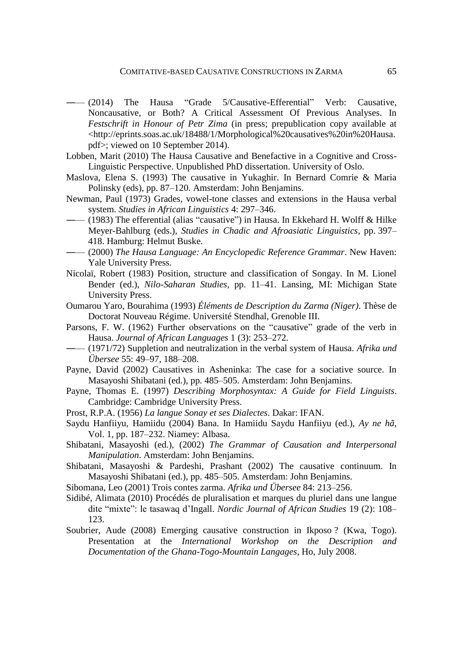- $(2014)$  The Hausa "Grade 5/Causative-Efferential" Verb: Causative, Noncausative, or Both? A Critical Assessment Of Previous Analyses. In *Festschrift in Honour of Petr Zima* (in press; prepublication copy available at <http://eprints.soas.ac.uk/18488/1/Morphological%20causatives%20in%20Hausa. pdf>; viewed on 10 September 2014).
- Lobben, Marit (2010) The Hausa Causative and Benefactive in a Cognitive and Cross-Linguistic Perspective. Unpublished PhD dissertation. University of Oslo.
- Maslova, Elena S. (1993) The causative in Yukaghir. In Bernard Comrie & Maria Polinsky (eds), pp. 87–120. Amsterdam: John Benjamins.
- Newman, Paul (1973) Grades, vowel-tone classes and extensions in the Hausa verbal system. *Studies in African Linguistics* 4: 297–346.
- ―— (1983) The efferential (alias "causative") in Hausa. In Ekkehard H. Wolff & Hilke Meyer-Bahlburg (eds.), *Studies in Chadic and Afroasiatic Linguistics*, pp. 397– 418. Hamburg: Helmut Buske.
- ―— (2000) *The Hausa Language: An Encyclopedic Reference Grammar*. New Haven: Yale University Press.
- Nicolaï, Robert (1983) Position, structure and classification of Songay. In M. Lionel Bender (ed.), *Nilo-Saharan Studies*, pp. 11–41. Lansing, MI: Michigan State University Press.
- Oumarou Yaro, Bourahima (1993) *Éléments de Description du Zarma (Niger)*. Thèse de Doctorat Nouveau Régime. Université Stendhal, Grenoble III.
- Parsons, F. W. (1962) Further observations on the "causative" grade of the verb in Hausa. *Journal of African Languages* 1 (3): 253–272.
- ―— (1971/72) Suppletion and neutralization in the verbal system of Hausa. *Afrika und Übersee* 55: 49–97, 188–208.
- Payne, David (2002) Causatives in Asheninka: The case for a sociative source. In Masayoshi Shibatani (ed.), pp. 485–505. Amsterdam: John Benjamins.
- Payne, Thomas E. (1997) *Describing Morphosyntax: A Guide for Field Linguists*. Cambridge: Cambridge University Press.
- Prost, R.P.A. (1956) *La langue Sonay et ses Dialectes*. Dakar: IFAN.
- Saydu Hanfiiyu, Hamiidu (2004) Bana. In Hamiidu Saydu Hanfiiyu (ed.), *Ay ne hã*, Vol. 1, pp. 187–232. Niamey: Albasa.
- Shibatani, Masayoshi (ed.), (2002) *The Grammar of Causation and Interpersonal Manipulation*. Amsterdam: John Benjamins.
- Shibatani, Masayoshi & Pardeshi, Prashant (2002) The causative continuum. In Masayoshi Shibatani (ed.), pp. 485–505. Amsterdam: John Benjamins.
- Sibomana, Leo (2001) Trois contes zarma. *Afrika und Übersee* 84: 213–256.
- Sidibé, Alimata (2010) Procédés de pluralisation et marques du pluriel dans une langue dite "mixte": le tasawaq d'Ingall. *Nordic Journal of African Studies* 19 (2): 108– 123.
- Soubrier, Aude (2008) Emerging causative construction in Ikposo ? (Kwa, Togo). Presentation at the *International Workshop on the Description and Documentation of the Ghana-Togo-Mountain Langages*, Ho, July 2008.